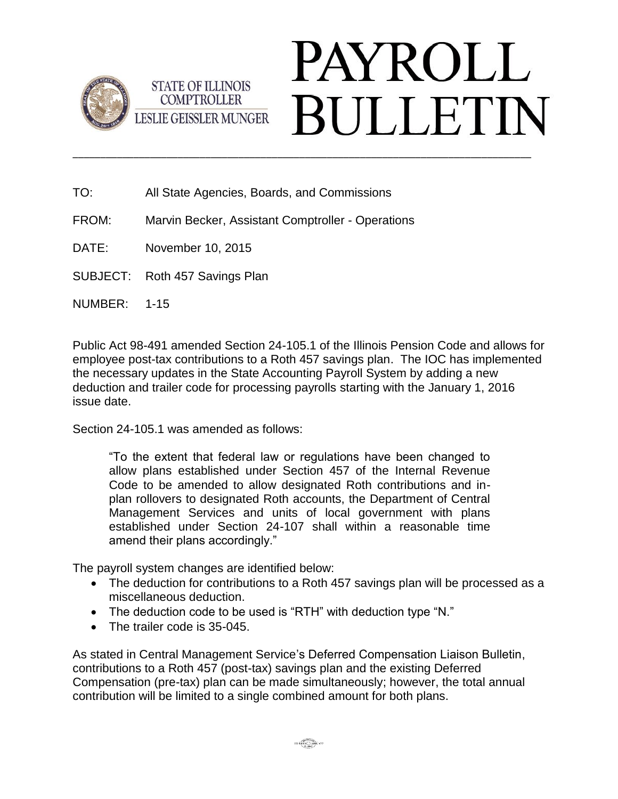

## PAYROLL **BULLETIN**

TO: All State Agencies, Boards, and Commissions

**STATE OF ILLINOIS COMPTROLLER** 

**LESLIE GEISSLER MUNGER** 

- FROM: Marvin Becker, Assistant Comptroller Operations
- DATE: November 10, 2015
- SUBJECT: Roth 457 Savings Plan
- NUMBER: 1-15

Public Act 98-491 amended Section 24-105.1 of the Illinois Pension Code and allows for employee post-tax contributions to a Roth 457 savings plan. The IOC has implemented the necessary updates in the State Accounting Payroll System by adding a new deduction and trailer code for processing payrolls starting with the January 1, 2016 issue date.

\_\_\_\_\_\_\_\_\_\_\_\_\_\_\_\_\_\_\_\_\_\_\_\_\_\_\_\_\_\_\_\_\_\_\_\_\_\_\_\_\_\_\_\_\_\_\_\_\_\_\_\_\_\_\_\_\_\_\_\_\_\_\_\_\_\_\_\_\_\_\_\_\_\_\_\_\_\_\_\_\_\_\_

Section 24-105.1 was amended as follows:

"To the extent that federal law or regulations have been changed to allow plans established under Section 457 of the Internal Revenue Code to be amended to allow designated Roth contributions and inplan rollovers to designated Roth accounts, the Department of Central Management Services and units of local government with plans established under Section 24-107 shall within a reasonable time amend their plans accordingly."

The payroll system changes are identified below:

- The deduction for contributions to a Roth 457 savings plan will be processed as a miscellaneous deduction.
- The deduction code to be used is "RTH" with deduction type "N."
- The trailer code is 35-045.

As stated in Central Management Service's Deferred Compensation Liaison Bulletin, contributions to a Roth 457 (post-tax) savings plan and the existing Deferred Compensation (pre-tax) plan can be made simultaneously; however, the total annual contribution will be limited to a single combined amount for both plans.